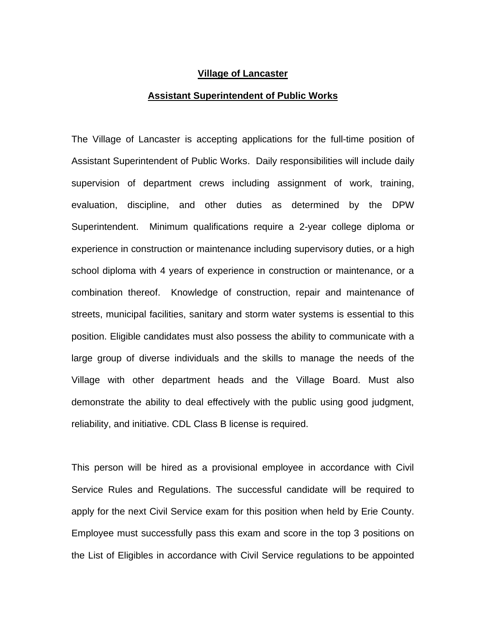## **Village of Lancaster**

## **Assistant Superintendent of Public Works**

The Village of Lancaster is accepting applications for the full-time position of Assistant Superintendent of Public Works. Daily responsibilities will include daily supervision of department crews including assignment of work, training, evaluation, discipline, and other duties as determined by the DPW Superintendent. Minimum qualifications require a 2-year college diploma or experience in construction or maintenance including supervisory duties, or a high school diploma with 4 years of experience in construction or maintenance, or a combination thereof. Knowledge of construction, repair and maintenance of streets, municipal facilities, sanitary and storm water systems is essential to this position. Eligible candidates must also possess the ability to communicate with a large group of diverse individuals and the skills to manage the needs of the Village with other department heads and the Village Board. Must also demonstrate the ability to deal effectively with the public using good judgment, reliability, and initiative. CDL Class B license is required.

This person will be hired as a provisional employee in accordance with Civil Service Rules and Regulations. The successful candidate will be required to apply for the next Civil Service exam for this position when held by Erie County. Employee must successfully pass this exam and score in the top 3 positions on the List of Eligibles in accordance with Civil Service regulations to be appointed